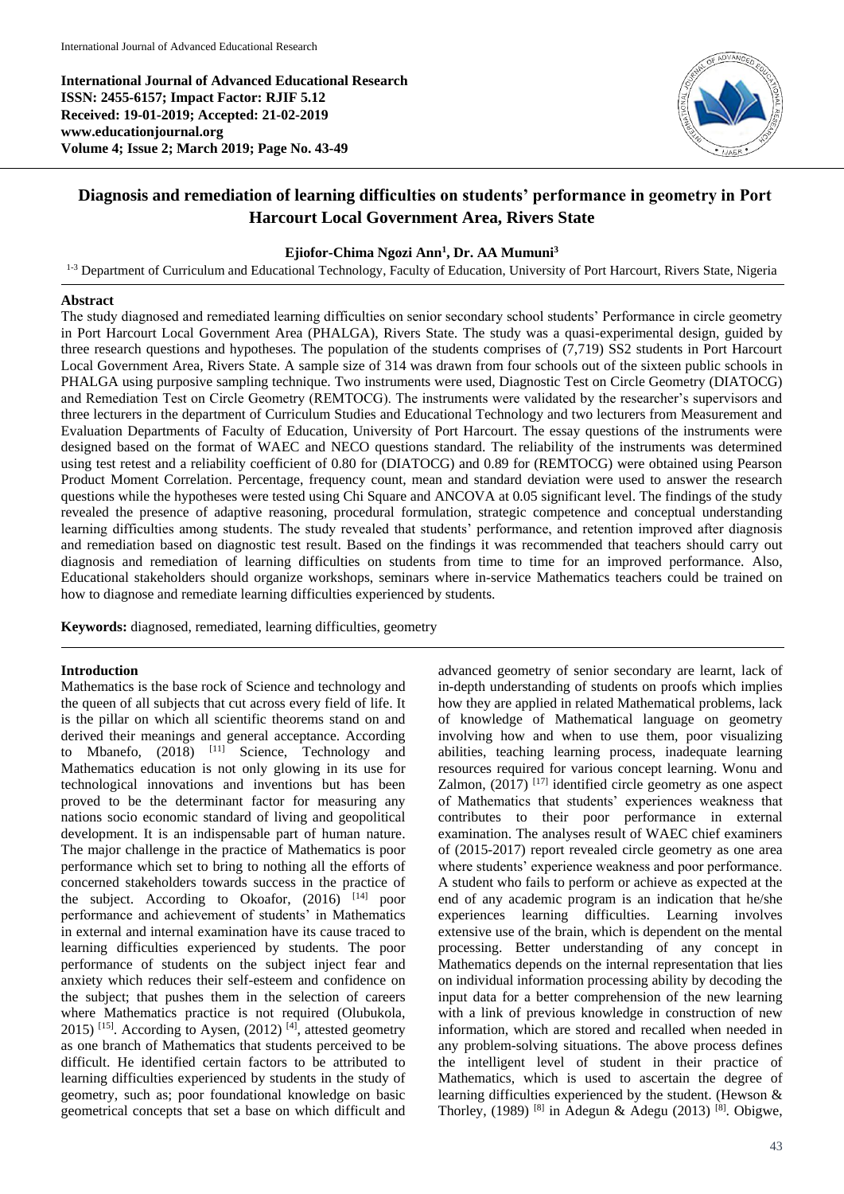**International Journal of Advanced Educational Research ISSN: 2455-6157; Impact Factor: RJIF 5.12 Received: 19-01-2019; Accepted: 21-02-2019 www.educationjournal.org Volume 4; Issue 2; March 2019; Page No. 43-49**



# **Diagnosis and remediation of learning difficulties on students' performance in geometry in Port Harcourt Local Government Area, Rivers State**

# **Ejiofor-Chima Ngozi Ann<sup>1</sup> , Dr. AA Mumuni<sup>3</sup>**

<sup>1-3</sup> Department of Curriculum and Educational Technology, Faculty of Education, University of Port Harcourt, Rivers State, Nigeria

#### **Abstract**

The study diagnosed and remediated learning difficulties on senior secondary school students' Performance in circle geometry in Port Harcourt Local Government Area (PHALGA), Rivers State. The study was a quasi-experimental design, guided by three research questions and hypotheses. The population of the students comprises of (7,719) SS2 students in Port Harcourt Local Government Area, Rivers State. A sample size of 314 was drawn from four schools out of the sixteen public schools in PHALGA using purposive sampling technique. Two instruments were used, Diagnostic Test on Circle Geometry (DIATOCG) and Remediation Test on Circle Geometry (REMTOCG). The instruments were validated by the researcher's supervisors and three lecturers in the department of Curriculum Studies and Educational Technology and two lecturers from Measurement and Evaluation Departments of Faculty of Education, University of Port Harcourt. The essay questions of the instruments were designed based on the format of WAEC and NECO questions standard. The reliability of the instruments was determined using test retest and a reliability coefficient of 0.80 for (DIATOCG) and 0.89 for (REMTOCG) were obtained using Pearson Product Moment Correlation. Percentage, frequency count, mean and standard deviation were used to answer the research questions while the hypotheses were tested using Chi Square and ANCOVA at 0.05 significant level. The findings of the study revealed the presence of adaptive reasoning, procedural formulation, strategic competence and conceptual understanding learning difficulties among students. The study revealed that students' performance, and retention improved after diagnosis and remediation based on diagnostic test result. Based on the findings it was recommended that teachers should carry out diagnosis and remediation of learning difficulties on students from time to time for an improved performance. Also, Educational stakeholders should organize workshops, seminars where in-service Mathematics teachers could be trained on how to diagnose and remediate learning difficulties experienced by students.

**Keywords:** diagnosed, remediated, learning difficulties, geometry

#### **Introduction**

Mathematics is the base rock of Science and technology and the queen of all subjects that cut across every field of life. It is the pillar on which all scientific theorems stand on and derived their meanings and general acceptance. According to Mbanefo,  $(2018)$   $[11]$  Science, Technology and Mathematics education is not only glowing in its use for technological innovations and inventions but has been proved to be the determinant factor for measuring any nations socio economic standard of living and geopolitical development. It is an indispensable part of human nature. The major challenge in the practice of Mathematics is poor performance which set to bring to nothing all the efforts of concerned stakeholders towards success in the practice of the subject. According to Okoafor,  $(2016)$ <sup>[14]</sup> poor performance and achievement of students' in Mathematics in external and internal examination have its cause traced to learning difficulties experienced by students. The poor performance of students on the subject inject fear and anxiety which reduces their self-esteem and confidence on the subject; that pushes them in the selection of careers where Mathematics practice is not required (Olubukola,  $2015$ ) <sup>[15]</sup>. According to Aysen,  $(2012)$ <sup>[4]</sup>, attested geometry as one branch of Mathematics that students perceived to be difficult. He identified certain factors to be attributed to learning difficulties experienced by students in the study of geometry, such as; poor foundational knowledge on basic geometrical concepts that set a base on which difficult and

advanced geometry of senior secondary are learnt, lack of in-depth understanding of students on proofs which implies how they are applied in related Mathematical problems, lack of knowledge of Mathematical language on geometry involving how and when to use them, poor visualizing abilities, teaching learning process, inadequate learning resources required for various concept learning. Wonu and Zalmon,  $(2017)$ <sup>[17]</sup> identified circle geometry as one aspect of Mathematics that students' experiences weakness that contributes to their poor performance in external examination. The analyses result of WAEC chief examiners of (2015-2017) report revealed circle geometry as one area where students' experience weakness and poor performance. A student who fails to perform or achieve as expected at the end of any academic program is an indication that he/she experiences learning difficulties. Learning involves extensive use of the brain, which is dependent on the mental processing. Better understanding of any concept in Mathematics depends on the internal representation that lies on individual information processing ability by decoding the input data for a better comprehension of the new learning with a link of previous knowledge in construction of new information, which are stored and recalled when needed in any problem-solving situations. The above process defines the intelligent level of student in their practice of Mathematics, which is used to ascertain the degree of learning difficulties experienced by the student. (Hewson & Thorley, (1989)<sup>[8]</sup> in Adegun & Adegu (2013)<sup>[8]</sup>. Obigwe,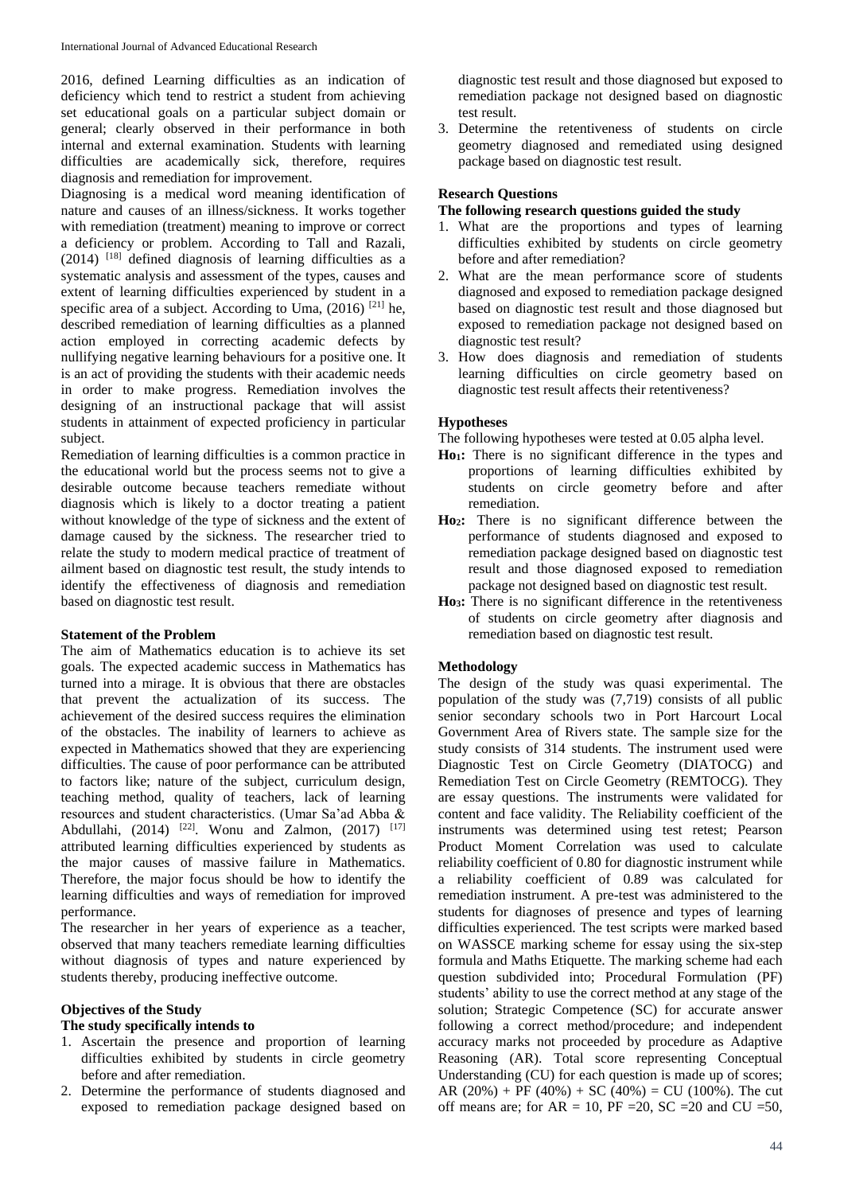2016, defined Learning difficulties as an indication of deficiency which tend to restrict a student from achieving set educational goals on a particular subject domain or general; clearly observed in their performance in both internal and external examination. Students with learning difficulties are academically sick, therefore, requires diagnosis and remediation for improvement.

Diagnosing is a medical word meaning identification of nature and causes of an illness/sickness. It works together with remediation (treatment) meaning to improve or correct a deficiency or problem. According to Tall and Razali,  $(2014)$  <sup>[18]</sup> defined diagnosis of learning difficulties as a systematic analysis and assessment of the types, causes and extent of learning difficulties experienced by student in a specific area of a subject. According to Uma,  $(2016)$ <sup>[21]</sup> he, described remediation of learning difficulties as a planned action employed in correcting academic defects by nullifying negative learning behaviours for a positive one. It is an act of providing the students with their academic needs in order to make progress. Remediation involves the designing of an instructional package that will assist students in attainment of expected proficiency in particular subject.

Remediation of learning difficulties is a common practice in the educational world but the process seems not to give a desirable outcome because teachers remediate without diagnosis which is likely to a doctor treating a patient without knowledge of the type of sickness and the extent of damage caused by the sickness. The researcher tried to relate the study to modern medical practice of treatment of ailment based on diagnostic test result, the study intends to identify the effectiveness of diagnosis and remediation based on diagnostic test result.

# **Statement of the Problem**

The aim of Mathematics education is to achieve its set goals. The expected academic success in Mathematics has turned into a mirage. It is obvious that there are obstacles that prevent the actualization of its success. The achievement of the desired success requires the elimination of the obstacles. The inability of learners to achieve as expected in Mathematics showed that they are experiencing difficulties. The cause of poor performance can be attributed to factors like; nature of the subject, curriculum design, teaching method, quality of teachers, lack of learning resources and student characteristics. (Umar Sa'ad Abba & Abdullahi,  $(2014)$ <sup>[22]</sup>. Wonu and Zalmon,  $(2017)$ <sup>[17]</sup> attributed learning difficulties experienced by students as the major causes of massive failure in Mathematics. Therefore, the major focus should be how to identify the learning difficulties and ways of remediation for improved performance.

The researcher in her years of experience as a teacher, observed that many teachers remediate learning difficulties without diagnosis of types and nature experienced by students thereby, producing ineffective outcome.

#### **Objectives of the Study**

#### **The study specifically intends to**

- 1. Ascertain the presence and proportion of learning difficulties exhibited by students in circle geometry before and after remediation.
- 2. Determine the performance of students diagnosed and exposed to remediation package designed based on

diagnostic test result and those diagnosed but exposed to remediation package not designed based on diagnostic test result.

3. Determine the retentiveness of students on circle geometry diagnosed and remediated using designed package based on diagnostic test result.

# **Research Questions**

#### **The following research questions guided the study**

- 1. What are the proportions and types of learning difficulties exhibited by students on circle geometry before and after remediation?
- 2. What are the mean performance score of students diagnosed and exposed to remediation package designed based on diagnostic test result and those diagnosed but exposed to remediation package not designed based on diagnostic test result?
- 3. How does diagnosis and remediation of students learning difficulties on circle geometry based on diagnostic test result affects their retentiveness?

#### **Hypotheses**

The following hypotheses were tested at 0.05 alpha level.

- **Ho1:** There is no significant difference in the types and proportions of learning difficulties exhibited by students on circle geometry before and after remediation.
- **Ho2:** There is no significant difference between the performance of students diagnosed and exposed to remediation package designed based on diagnostic test result and those diagnosed exposed to remediation package not designed based on diagnostic test result.
- **Ho3:** There is no significant difference in the retentiveness of students on circle geometry after diagnosis and remediation based on diagnostic test result.

#### **Methodology**

The design of the study was quasi experimental. The population of the study was (7,719) consists of all public senior secondary schools two in Port Harcourt Local Government Area of Rivers state. The sample size for the study consists of 314 students. The instrument used were Diagnostic Test on Circle Geometry (DIATOCG) and Remediation Test on Circle Geometry (REMTOCG). They are essay questions. The instruments were validated for content and face validity. The Reliability coefficient of the instruments was determined using test retest; Pearson Product Moment Correlation was used to calculate reliability coefficient of 0.80 for diagnostic instrument while a reliability coefficient of 0.89 was calculated for remediation instrument. A pre-test was administered to the students for diagnoses of presence and types of learning difficulties experienced. The test scripts were marked based on WASSCE marking scheme for essay using the six-step formula and Maths Etiquette. The marking scheme had each question subdivided into; Procedural Formulation (PF) students' ability to use the correct method at any stage of the solution; Strategic Competence (SC) for accurate answer following a correct method/procedure; and independent accuracy marks not proceeded by procedure as Adaptive Reasoning (AR). Total score representing Conceptual Understanding (CU) for each question is made up of scores; AR  $(20\%)$  + PF  $(40\%)$  + SC  $(40\%)$  = CU  $(100\%)$ . The cut off means are; for  $AR = 10$ ,  $PF = 20$ ,  $SC = 20$  and  $CU = 50$ ,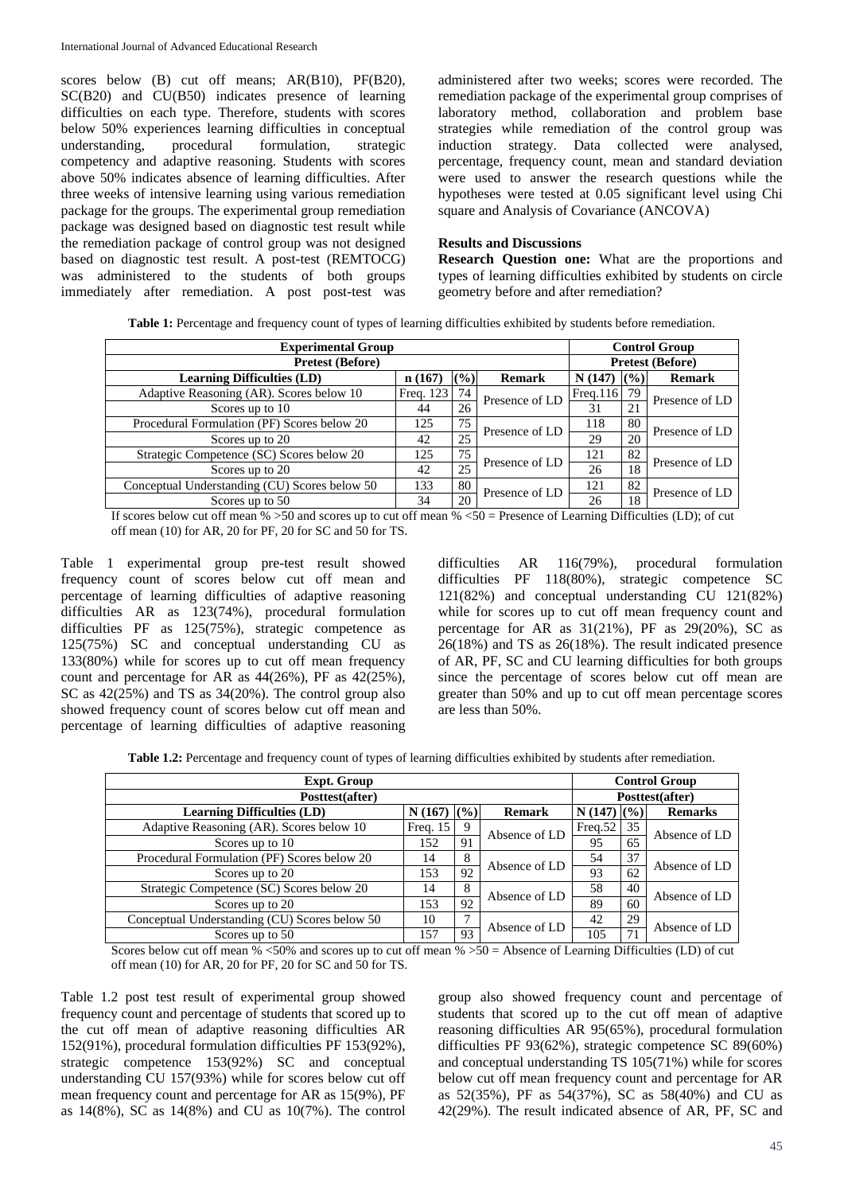scores below (B) cut off means; AR(B10), PF(B20), SC(B20) and CU(B50) indicates presence of learning difficulties on each type. Therefore, students with scores below 50% experiences learning difficulties in conceptual understanding, procedural formulation, strategic understanding, procedural formulation, strategic competency and adaptive reasoning. Students with scores above 50% indicates absence of learning difficulties. After three weeks of intensive learning using various remediation package for the groups. The experimental group remediation package was designed based on diagnostic test result while the remediation package of control group was not designed based on diagnostic test result. A post-test (REMTOCG) was administered to the students of both groups immediately after remediation. A post post-test was

administered after two weeks; scores were recorded. The remediation package of the experimental group comprises of laboratory method, collaboration and problem base strategies while remediation of the control group was induction strategy. Data collected were analysed, percentage, frequency count, mean and standard deviation were used to answer the research questions while the hypotheses were tested at 0.05 significant level using Chi square and Analysis of Covariance (ANCOVA)

## **Results and Discussions**

**Research Question one:** What are the proportions and types of learning difficulties exhibited by students on circle geometry before and after remediation?

**Table 1:** Percentage and frequency count of types of learning difficulties exhibited by students before remediation.

| <b>Experimental Group</b>                     | <b>Control Group</b> |                         |                |           |       |                |  |
|-----------------------------------------------|----------------------|-------------------------|----------------|-----------|-------|----------------|--|
| <b>Pretest (Before)</b>                       |                      | <b>Pretest (Before)</b> |                |           |       |                |  |
| <b>Learning Difficulties (LD)</b>             | n(167)               | (9/0)                   | <b>Remark</b>  | N(147)    | (9/0) | <b>Remark</b>  |  |
| Adaptive Reasoning (AR). Scores below 10      | Freq. 123            | 74                      | Presence of LD | Freq.116  | 79    | Presence of LD |  |
| Scores up to 10                               | 44                   | 26                      |                | 31        | 21    |                |  |
| Procedural Formulation (PF) Scores below 20   | 125                  | 75                      | Presence of LD | 118       | 80    | Presence of LD |  |
| Scores up to 20                               | 42                   | 25                      |                | 29        | 20    |                |  |
| Strategic Competence (SC) Scores below 20     | 125                  | 75                      | Presence of LD | 82<br>121 |       |                |  |
| Scores up to 20                               | 42                   | 25                      |                | 26        | 18    | Presence of LD |  |
| Conceptual Understanding (CU) Scores below 50 | 133                  | 80                      |                | 121       | 82    |                |  |
| Scores up to 50                               | 34                   | 20                      | Presence of LD | 26        | 18    | Presence of LD |  |

If scores below cut off mean  $\% > 50$  and scores up to cut off mean  $\% < 50$  = Presence of Learning Difficulties (LD); of cut off mean (10) for AR, 20 for PF, 20 for SC and 50 for TS.

Table 1 experimental group pre-test result showed frequency count of scores below cut off mean and percentage of learning difficulties of adaptive reasoning difficulties AR as 123(74%), procedural formulation difficulties PF as 125(75%), strategic competence as 125(75%) SC and conceptual understanding CU as 133(80%) while for scores up to cut off mean frequency count and percentage for AR as  $44(26\%)$ , PF as  $42(25\%)$ , SC as 42(25%) and TS as 34(20%). The control group also showed frequency count of scores below cut off mean and percentage of learning difficulties of adaptive reasoning difficulties AR 116(79%), procedural formulation difficulties PF 118(80%), strategic competence SC 121(82%) and conceptual understanding CU 121(82%) while for scores up to cut off mean frequency count and percentage for AR as  $31(21\%)$ , PF as  $29(20\%)$ , SC as 26(18%) and TS as 26(18%). The result indicated presence of AR, PF, SC and CU learning difficulties for both groups since the percentage of scores below cut off mean are greater than 50% and up to cut off mean percentage scores are less than 50%.

Table 1.2: Percentage and frequency count of types of learning difficulties exhibited by students after remediation.

| <b>Expt. Group</b>                            | <b>Control Group</b> |    |               |                   |    |                |  |
|-----------------------------------------------|----------------------|----|---------------|-------------------|----|----------------|--|
| Posttest(after)                               | Posttest(after)      |    |               |                   |    |                |  |
| <b>Learning Difficulties (LD)</b>             | $N(167)$ (%)         |    | <b>Remark</b> | $N(147)$ (%)      |    | <b>Remarks</b> |  |
| Adaptive Reasoning (AR). Scores below 10      | Freq. $15$           | 9  | Absence of LD | Freq.52 $\mid$ 35 |    | Absence of LD  |  |
| Scores up to 10                               | 152                  | 91 |               | 95                | 65 |                |  |
| Procedural Formulation (PF) Scores below 20   | 14                   | 8  |               | 54                | 37 | Absence of LD  |  |
| Scores up to 20                               | 153                  | 92 | Absence of LD | 93                | 62 |                |  |
| Strategic Competence (SC) Scores below 20     | 14                   | 8  | Absence of LD | 58                | 40 | Absence of LD  |  |
| Scores up to 20                               | 153                  | 92 |               | 89                | 60 |                |  |
| Conceptual Understanding (CU) Scores below 50 | 10                   |    | Absence of LD | 42                | 29 | Absence of LD  |  |
| Scores up to 50                               | 157                  | 93 |               | 105               | 71 |                |  |

Scores below cut off mean  $%$  <50% and scores up to cut off mean  $%$  >50 = Absence of Learning Difficulties (LD) of cut off mean (10) for AR, 20 for PF, 20 for SC and 50 for TS.

Table 1.2 post test result of experimental group showed frequency count and percentage of students that scored up to the cut off mean of adaptive reasoning difficulties AR 152(91%), procedural formulation difficulties PF 153(92%), strategic competence 153(92%) SC and conceptual understanding CU 157(93%) while for scores below cut off mean frequency count and percentage for AR as 15(9%), PF as 14(8%), SC as 14(8%) and CU as 10(7%). The control

group also showed frequency count and percentage of students that scored up to the cut off mean of adaptive reasoning difficulties AR 95(65%), procedural formulation difficulties PF 93(62%), strategic competence SC 89(60%) and conceptual understanding TS 105(71%) while for scores below cut off mean frequency count and percentage for AR as 52(35%), PF as 54(37%), SC as 58(40%) and CU as 42(29%). The result indicated absence of AR, PF, SC and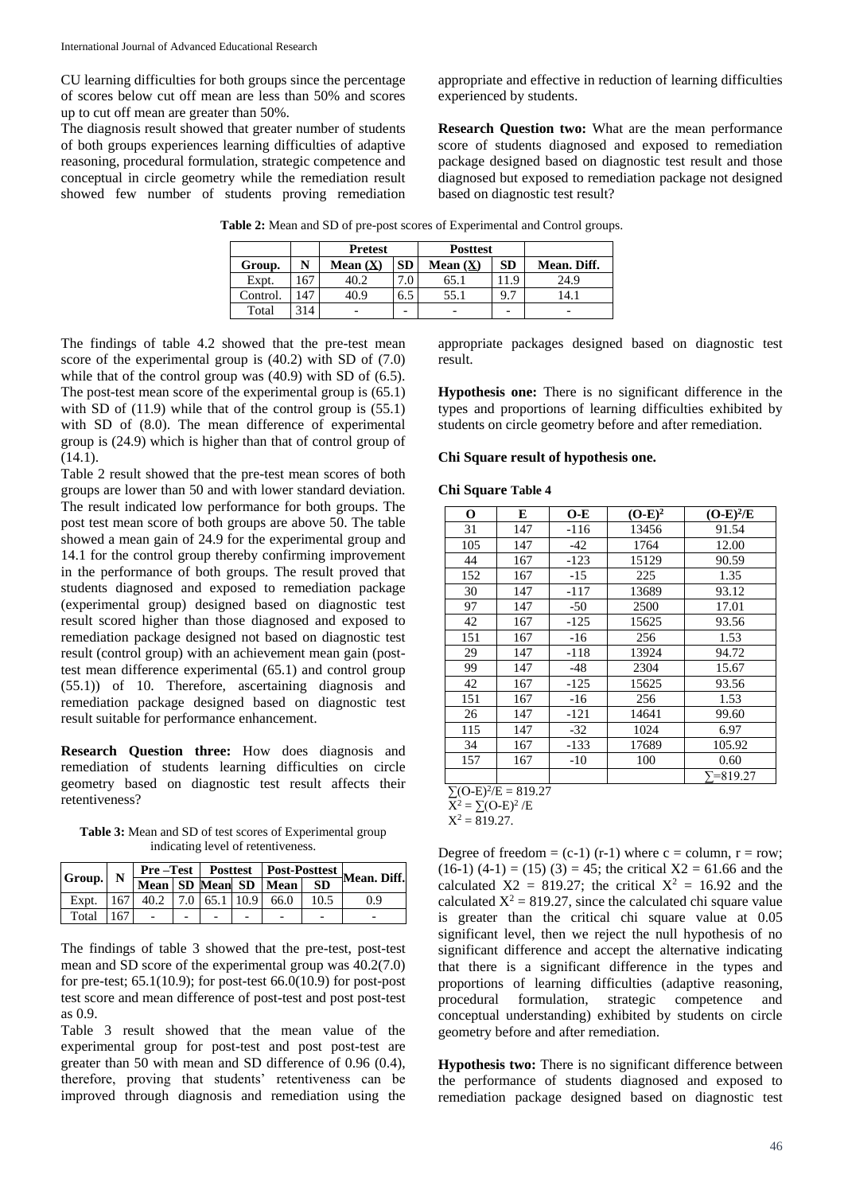CU learning difficulties for both groups since the percentage of scores below cut off mean are less than 50% and scores up to cut off mean are greater than 50%.

The diagnosis result showed that greater number of students of both groups experiences learning difficulties of adaptive reasoning, procedural formulation, strategic competence and conceptual in circle geometry while the remediation result showed few number of students proving remediation appropriate and effective in reduction of learning difficulties experienced by students.

**Research Question two:** What are the mean performance score of students diagnosed and exposed to remediation package designed based on diagnostic test result and those diagnosed but exposed to remediation package not designed based on diagnostic test result?

**Table 2:** Mean and SD of pre-post scores of Experimental and Control groups.

|          |     | <b>Pretest</b> |           | <b>Posttest</b> |           |             |
|----------|-----|----------------|-----------|-----------------|-----------|-------------|
| Group.   |     | Mean $(X)$     | <b>SD</b> | Mean $(X)$      | <b>SD</b> | Mean. Diff. |
| Expt.    | .67 | 40.2           | 7.0       | 65.1            | .1.9      | 24.9        |
| Control. | 147 | 40.9           | 6.5       | 55.1            | 9.7       | 14.         |
| Total    | 314 |                | -         |                 | -         |             |

The findings of table 4.2 showed that the pre-test mean score of the experimental group is (40.2) with SD of (7.0) while that of the control group was  $(40.9)$  with SD of  $(6.5)$ . The post-test mean score of the experimental group is (65.1) with SD of  $(11.9)$  while that of the control group is  $(55.1)$ with SD of (8.0). The mean difference of experimental group is (24.9) which is higher than that of control group of  $(14.1).$ 

Table 2 result showed that the pre-test mean scores of both groups are lower than 50 and with lower standard deviation. The result indicated low performance for both groups. The post test mean score of both groups are above 50. The table showed a mean gain of 24.9 for the experimental group and 14.1 for the control group thereby confirming improvement in the performance of both groups. The result proved that students diagnosed and exposed to remediation package (experimental group) designed based on diagnostic test result scored higher than those diagnosed and exposed to remediation package designed not based on diagnostic test result (control group) with an achievement mean gain (posttest mean difference experimental (65.1) and control group (55.1)) of 10. Therefore, ascertaining diagnosis and remediation package designed based on diagnostic test result suitable for performance enhancement.

**Research Question three:** How does diagnosis and remediation of students learning difficulties on circle geometry based on diagnostic test result affects their retentiveness?

**Table 3:** Mean and SD of test scores of Experimental group indicating level of retentiveness.

| $ Group. $ N |     |                                   |  | Pre-Test Posttest Post-Posttest Mean. Diff. |  |                         |      |     |
|--------------|-----|-----------------------------------|--|---------------------------------------------|--|-------------------------|------|-----|
|              |     |                                   |  |                                             |  | Mean SD Mean SD Mean SD |      |     |
| Expt.        | 167 | $40.2$   7.0   65.1   10.9   66.0 |  |                                             |  |                         | 10.5 | 0.9 |
| Total        | 167 |                                   |  |                                             |  |                         |      |     |

The findings of table 3 showed that the pre-test, post-test mean and SD score of the experimental group was 40.2(7.0) for pre-test; 65.1(10.9); for post-test 66.0(10.9) for post-post test score and mean difference of post-test and post post-test as 0.9.

Table 3 result showed that the mean value of the experimental group for post-test and post post-test are greater than 50 with mean and SD difference of 0.96 (0.4), therefore, proving that students' retentiveness can be improved through diagnosis and remediation using the

appropriate packages designed based on diagnostic test result.

**Hypothesis one:** There is no significant difference in the types and proportions of learning difficulties exhibited by students on circle geometry before and after remediation.

#### **Chi Square result of hypothesis one.**

# **Chi Square Table 4**

| $\mathbf 0$ | E                                       | $O-E$  | $(O-E)^2$ | $(O-E)^2/E$       |
|-------------|-----------------------------------------|--------|-----------|-------------------|
| 31          | 147                                     | $-116$ | 13456     | 91.54             |
| 105         | 147                                     | $-42$  | 1764      | 12.00             |
| 44          | 167                                     | $-123$ | 15129     | 90.59             |
| 152         | 167                                     | $-15$  | 225       | 1.35              |
| 30          | 147                                     | $-117$ | 13689     | 93.12             |
| 97          | 147                                     | $-50$  | 2500      | 17.01             |
| 42          | 167                                     | $-125$ | 15625     | 93.56             |
| 151         | 167                                     | $-16$  | 256       | 1.53              |
| 29          | 147                                     | $-118$ | 13924     | 94.72             |
| 99          | 147                                     | $-48$  | 2304      | 15.67             |
| 42          | 167                                     | $-125$ | 15625     | 93.56             |
| 151         | 167                                     | $-16$  | 256       | 1.53              |
| 26          | 147                                     | $-121$ | 14641     | 99.60             |
| 115         | 147                                     | $-32$  | 1024      | 6.97              |
| 34          | 167                                     | $-133$ | 17689     | 105.92            |
| 157         | 167                                     | $-10$  | 100       | 0.60              |
|             |                                         |        |           | $\Sigma = 819.27$ |
|             | $\Sigma$ (O-E) <sup>2</sup> /E = 819.27 |        |           |                   |

 $X^2 = \sum (O-E)^2 / E$ 

 $X^2 = 819.27$ .

Degree of freedom =  $(c-1)$   $(r-1)$  where  $c = \text{column}$ ,  $r = \text{row}$ ;  $(16-1)$   $(4-1) = (15)$   $(3) = 45$ ; the critical  $X2 = 61.66$  and the calculated  $X2 = 819.27$ ; the critical  $X^2 = 16.92$  and the calculated  $X^2 = 819.27$ , since the calculated chi square value is greater than the critical chi square value at 0.05 significant level, then we reject the null hypothesis of no significant difference and accept the alternative indicating that there is a significant difference in the types and proportions of learning difficulties (adaptive reasoning, procedural formulation, strategic competence and conceptual understanding) exhibited by students on circle geometry before and after remediation.

**Hypothesis two:** There is no significant difference between the performance of students diagnosed and exposed to remediation package designed based on diagnostic test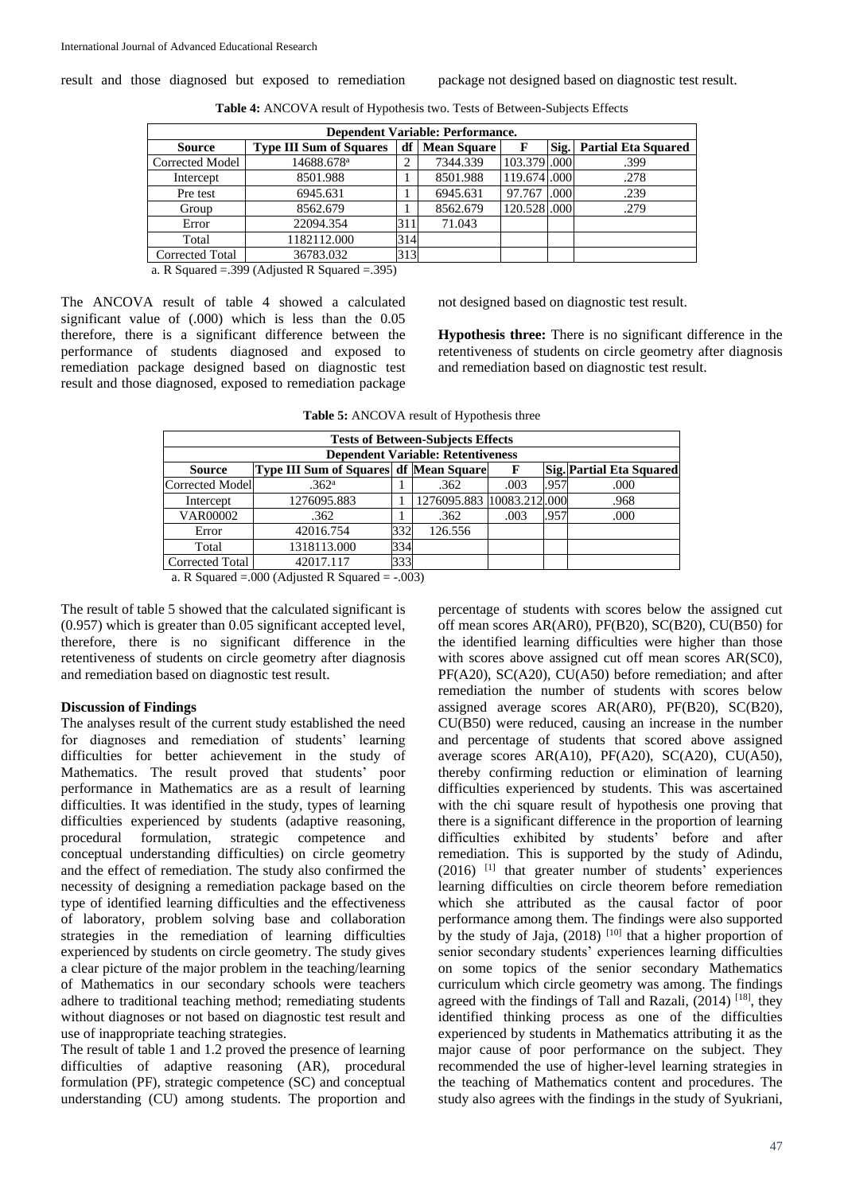result and those diagnosed but exposed to remediation package not designed based on diagnostic test result.

| Dependent Variable: Performance. |                                |     |                  |              |      |                            |  |  |  |
|----------------------------------|--------------------------------|-----|------------------|--------------|------|----------------------------|--|--|--|
| <b>Source</b>                    | <b>Type III Sum of Squares</b> |     | df   Mean Square | F            | Sig. | <b>Partial Eta Squared</b> |  |  |  |
| Corrected Model                  | 14688.678 <sup>a</sup>         |     | 7344.339         | 103.379 .000 |      | .399                       |  |  |  |
| Intercept                        | 8501.988                       |     | 8501.988         | 119.674 .000 |      | .278                       |  |  |  |
| Pre test                         | 6945.631                       |     | 6945.631         | 97.767       | .000 | .239                       |  |  |  |
| Group                            | 8562.679                       |     | 8562.679         | 120.528,000  |      | .279                       |  |  |  |
| Error                            | 22094.354                      | 311 | 71.043           |              |      |                            |  |  |  |
| Total                            | 1182112.000                    | 314 |                  |              |      |                            |  |  |  |
| Corrected Total                  | 36783.032                      | 313 |                  |              |      |                            |  |  |  |

**Table 4:** ANCOVA result of Hypothesis two. Tests of Between-Subjects Effects

a. R Squared =.399 (Adjusted R Squared =.395)

The ANCOVA result of table 4 showed a calculated significant value of (.000) which is less than the 0.05 therefore, there is a significant difference between the performance of students diagnosed and exposed to remediation package designed based on diagnostic test result and those diagnosed, exposed to remediation package not designed based on diagnostic test result.

**Hypothesis three:** There is no significant difference in the retentiveness of students on circle geometry after diagnosis and remediation based on diagnostic test result.

| <b>Tests of Between-Subjects Effects</b> |                                        |     |                           |      |      |                                 |  |  |  |  |
|------------------------------------------|----------------------------------------|-----|---------------------------|------|------|---------------------------------|--|--|--|--|
| <b>Dependent Variable: Retentiveness</b> |                                        |     |                           |      |      |                                 |  |  |  |  |
| <b>Source</b>                            | Type III Sum of Squares df Mean Square |     |                           |      |      | <b>Sig. Partial Eta Squared</b> |  |  |  |  |
| Corrected Model                          | .362 <sup>a</sup>                      |     | .362                      | .003 | .957 | .000                            |  |  |  |  |
| Intercept                                | 1276095.883                            |     | 1276095.883 10083.212.000 |      |      | .968                            |  |  |  |  |
| VAR00002                                 | .362                                   |     | .362                      | .003 | .957 | .000                            |  |  |  |  |
| Error                                    | 42016.754                              | 332 | 126.556                   |      |      |                                 |  |  |  |  |
| Total                                    | 1318113.000                            | 334 |                           |      |      |                                 |  |  |  |  |
| Corrected Total                          | 42017.117                              | 333 |                           |      |      |                                 |  |  |  |  |
| $\sim$ $\sim$ $\sim$                     |                                        |     |                           |      |      |                                 |  |  |  |  |

**Table 5:** ANCOVA result of Hypothesis three

a. R Squared  $= .000$  (Adjusted R Squared  $= -.003$ )

The result of table 5 showed that the calculated significant is (0.957) which is greater than 0.05 significant accepted level, therefore, there is no significant difference in the retentiveness of students on circle geometry after diagnosis and remediation based on diagnostic test result.

#### **Discussion of Findings**

The analyses result of the current study established the need for diagnoses and remediation of students' learning difficulties for better achievement in the study of Mathematics. The result proved that students' poor performance in Mathematics are as a result of learning difficulties. It was identified in the study, types of learning difficulties experienced by students (adaptive reasoning, procedural formulation, strategic competence and conceptual understanding difficulties) on circle geometry and the effect of remediation. The study also confirmed the necessity of designing a remediation package based on the type of identified learning difficulties and the effectiveness of laboratory, problem solving base and collaboration strategies in the remediation of learning difficulties experienced by students on circle geometry. The study gives a clear picture of the major problem in the teaching/learning of Mathematics in our secondary schools were teachers adhere to traditional teaching method; remediating students without diagnoses or not based on diagnostic test result and use of inappropriate teaching strategies.

The result of table 1 and 1.2 proved the presence of learning difficulties of adaptive reasoning (AR), procedural formulation (PF), strategic competence (SC) and conceptual understanding (CU) among students. The proportion and

percentage of students with scores below the assigned cut off mean scores AR(AR0), PF(B20), SC(B20), CU(B50) for the identified learning difficulties were higher than those with scores above assigned cut off mean scores AR(SC0), PF(A20), SC(A20), CU(A50) before remediation; and after remediation the number of students with scores below assigned average scores AR(AR0), PF(B20), SC(B20), CU(B50) were reduced, causing an increase in the number and percentage of students that scored above assigned average scores  $AR(A10)$ ,  $PF(A20)$ ,  $SC(A20)$ ,  $CU(A50)$ , thereby confirming reduction or elimination of learning difficulties experienced by students. This was ascertained with the chi square result of hypothesis one proving that there is a significant difference in the proportion of learning difficulties exhibited by students<sup>5</sup> before and after remediation. This is supported by the study of Adindu,  $(2016)$  <sup>[1]</sup> that greater number of students' experiences learning difficulties on circle theorem before remediation which she attributed as the causal factor of poor performance among them. The findings were also supported by the study of Jaja,  $(2018)$ <sup>[10]</sup> that a higher proportion of senior secondary students' experiences learning difficulties on some topics of the senior secondary Mathematics curriculum which circle geometry was among. The findings agreed with the findings of Tall and Razali, (2014)<sup>[18]</sup>, they identified thinking process as one of the difficulties experienced by students in Mathematics attributing it as the major cause of poor performance on the subject. They recommended the use of higher-level learning strategies in the teaching of Mathematics content and procedures. The study also agrees with the findings in the study of Syukriani,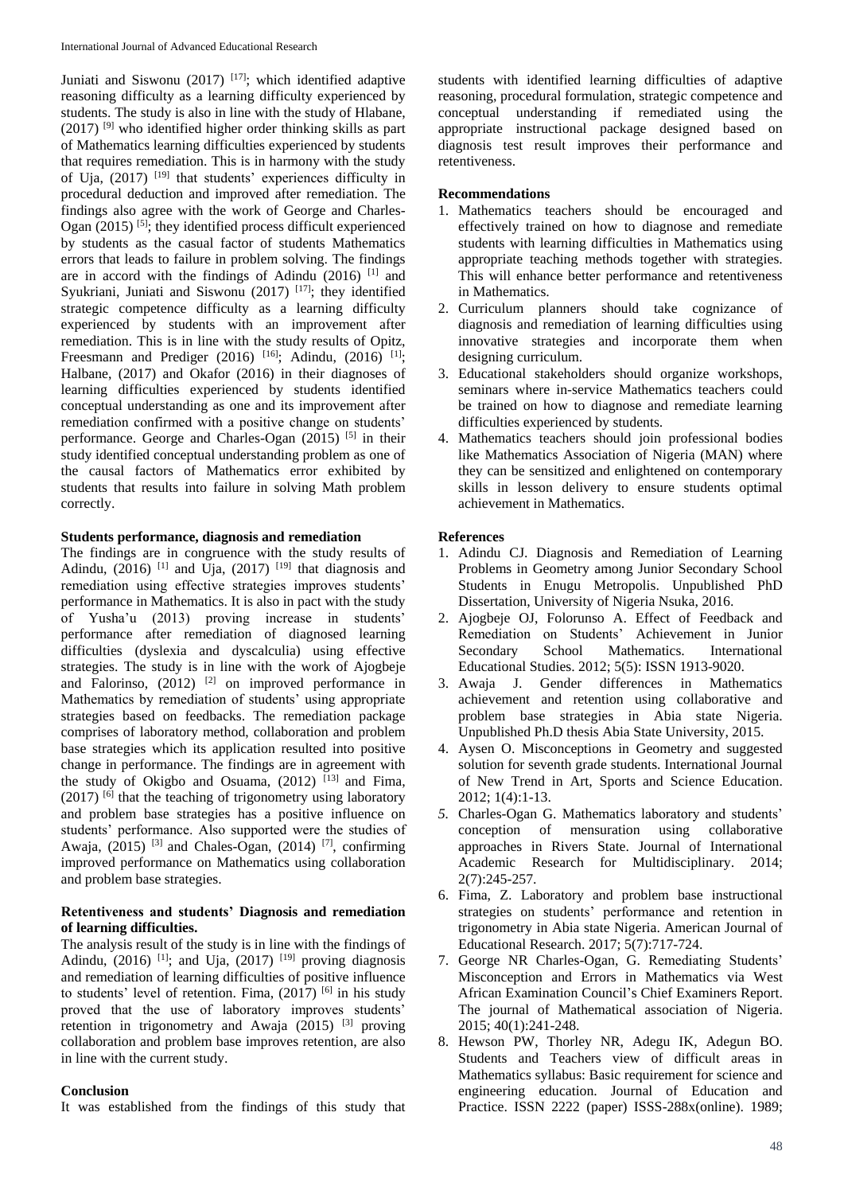Juniati and Siswonu (2017) [17]; which identified adaptive reasoning difficulty as a learning difficulty experienced by students. The study is also in line with the study of Hlabane,  $(2017)$ <sup>[9]</sup> who identified higher order thinking skills as part of Mathematics learning difficulties experienced by students that requires remediation. This is in harmony with the study of Uja, (2017) <sup>[19]</sup> that students' experiences difficulty in procedural deduction and improved after remediation. The findings also agree with the work of George and Charles-Ogan  $(2015)$  [5], they identified process difficult experienced by students as the casual factor of students Mathematics errors that leads to failure in problem solving. The findings are in accord with the findings of Adindu (2016) [1] and Syukriani, Juniati and Siswonu (2017) [17]; they identified strategic competence difficulty as a learning difficulty experienced by students with an improvement after remediation. This is in line with the study results of Opitz, Freesmann and Prediger (2016) <sup>[16]</sup>; Adindu, (2016) <sup>[1]</sup>; Halbane, (2017) and Okafor (2016) in their diagnoses of learning difficulties experienced by students identified conceptual understanding as one and its improvement after remediation confirmed with a positive change on students' performance. George and Charles-Ogan (2015) [5] in their study identified conceptual understanding problem as one of the causal factors of Mathematics error exhibited by students that results into failure in solving Math problem correctly.

# **Students performance, diagnosis and remediation**

The findings are in congruence with the study results of Adindu,  $(2016)$  <sup>[1]</sup> and Uja,  $(2017)$  <sup>[19]</sup> that diagnosis and remediation using effective strategies improves students' performance in Mathematics. It is also in pact with the study of Yusha'u (2013) proving increase in students' performance after remediation of diagnosed learning difficulties (dyslexia and dyscalculia) using effective strategies. The study is in line with the work of Ajogbeje and Falorinso,  $(2012)$  <sup>[2]</sup> on improved performance in Mathematics by remediation of students' using appropriate strategies based on feedbacks. The remediation package comprises of laboratory method, collaboration and problem base strategies which its application resulted into positive change in performance. The findings are in agreement with the study of Okigbo and Osuama,  $(2012)$ <sup>[13]</sup> and Fima,  $(2017)$ <sup>[6]</sup> that the teaching of trigonometry using laboratory and problem base strategies has a positive influence on students' performance. Also supported were the studies of Awaja,  $(2015)$ <sup>[3]</sup> and Chales-Ogan,  $(2014)$ <sup>[7]</sup>, confirming improved performance on Mathematics using collaboration and problem base strategies.

# **Retentiveness and students' Diagnosis and remediation of learning difficulties.**

The analysis result of the study is in line with the findings of Adindu,  $(2016)$ <sup>[1]</sup>; and Uja,  $(2017)$ <sup>[19]</sup> proving diagnosis and remediation of learning difficulties of positive influence to students' level of retention. Fima,  $(2017)$  <sup>[6]</sup> in his study proved that the use of laboratory improves students' retention in trigonometry and Awaja (2015) <sup>[3]</sup> proving collaboration and problem base improves retention, are also in line with the current study.

# **Conclusion**

It was established from the findings of this study that

students with identified learning difficulties of adaptive reasoning, procedural formulation, strategic competence and conceptual understanding if remediated using the appropriate instructional package designed based on diagnosis test result improves their performance and retentiveness.

#### **Recommendations**

- 1. Mathematics teachers should be encouraged and effectively trained on how to diagnose and remediate students with learning difficulties in Mathematics using appropriate teaching methods together with strategies. This will enhance better performance and retentiveness in Mathematics.
- 2. Curriculum planners should take cognizance of diagnosis and remediation of learning difficulties using innovative strategies and incorporate them when designing curriculum.
- 3. Educational stakeholders should organize workshops, seminars where in-service Mathematics teachers could be trained on how to diagnose and remediate learning difficulties experienced by students.
- 4. Mathematics teachers should join professional bodies like Mathematics Association of Nigeria (MAN) where they can be sensitized and enlightened on contemporary skills in lesson delivery to ensure students optimal achievement in Mathematics.

#### **References**

- 1. Adindu CJ. Diagnosis and Remediation of Learning Problems in Geometry among Junior Secondary School Students in Enugu Metropolis. Unpublished PhD Dissertation, University of Nigeria Nsuka, 2016.
- 2. Ajogbeje OJ, Folorunso A. Effect of Feedback and Remediation on Students' Achievement in Junior Secondary School Mathematics. International Educational Studies. 2012; 5(5): ISSN 1913-9020.
- 3. Awaja J. Gender differences in Mathematics achievement and retention using collaborative and problem base strategies in Abia state Nigeria. Unpublished Ph.D thesis Abia State University, 2015.
- 4. Aysen O. Misconceptions in Geometry and suggested solution for seventh grade students. International Journal of New Trend in Art, Sports and Science Education. 2012; 1(4):1-13.
- *5.* Charles-Ogan G. Mathematics laboratory and students' conception of mensuration using collaborative approaches in Rivers State. Journal of International Academic Research for Multidisciplinary. 2014; 2(7):245-257.
- 6. Fima, Z. Laboratory and problem base instructional strategies on students' performance and retention in trigonometry in Abia state Nigeria. American Journal of Educational Research. 2017; 5(7):717-724.
- 7. George NR Charles-Ogan, G. Remediating Students' Misconception and Errors in Mathematics via West African Examination Council's Chief Examiners Report. The journal of Mathematical association of Nigeria. 2015; 40(1):241-248.
- 8. Hewson PW, Thorley NR, Adegu IK, Adegun BO. Students and Teachers view of difficult areas in Mathematics syllabus: Basic requirement for science and engineering education. Journal of Education and Practice. ISSN 2222 (paper) ISSS-288x(online). 1989;